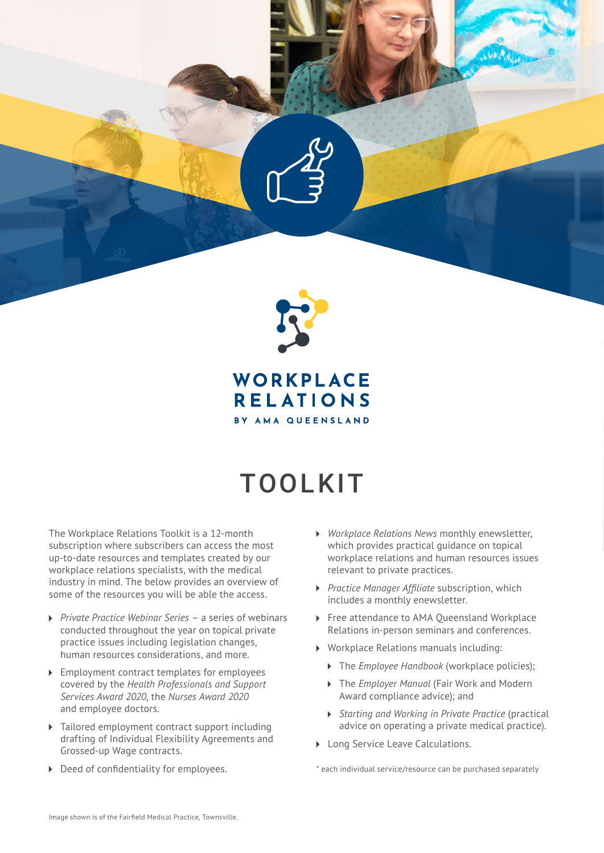

WORKPLACE **RELATIONS** BY AMA QUEENSLAND

## TOOLKIT

The Workplace Relations Toolkit is a 12-month subscription where subscribers can access the most up-to-date resources and templates created by our workplace relations specialists, with the medical industry in mind. The below provides an overview of some of the resources you will be able the access.

- *Private Practice Webinar Series* a series of webinars conducted throughout the year on topical private practice issues including legislation changes, human resources considerations, and more.
- **Employment contract templates for employees** covered by the *Health Professionals and Support Services Award 2020*, the *Nurses Award 2020* and employee doctors.
- Tailored employment contract support including  $\blacktriangleright$ drafting of Individual Flexibility Agreements and Grossed-up Wage contracts.
- Deed of confidentiality for employees.
- *Workplace Relations News* monthly enewsletter, which provides practical guidance on topical workplace relations and human resources issues relevant to private practices.
- *Practice Manager Affiliate* subscription, which includes a monthly enewsletter.
- ▶ Free attendance to AMA Oueensland Workplace Relations in-person seminars and conferences.
- Workplace Relations manuals including:
	- The *Employee Handbook* (workplace policies);
	- The *Employer Manual* (Fair Work and Modern Award compliance advice); and
	- *Starting and Working in Private Practice* (practical advice on operating a private medical practice).
- **Long Service Leave Calculations.**

\* each individual service/resource can be purchased separately